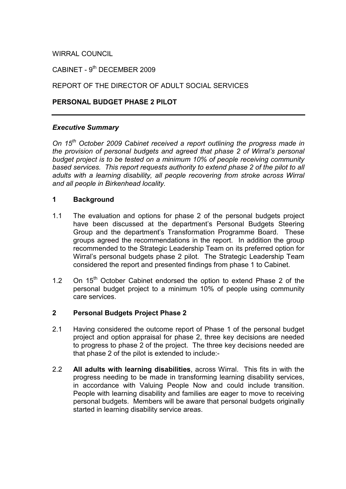## WIRRAL COUNCIL

CABINET - 9<sup>th</sup> DECEMBER 2009

## REPORT OF THE DIRECTOR OF ADULT SOCIAL SERVICES

### PERSONAL BUDGET PHASE 2 PILOT

### Executive Summary

On 15<sup>th</sup> October 2009 Cabinet received a report outlining the progress made in the provision of personal budgets and agreed that phase 2 of Wirral's personal budget project is to be tested on a minimum 10% of people receiving community based services. This report requests authority to extend phase 2 of the pilot to all adults with a learning disability, all people recovering from stroke across Wirral and all people in Birkenhead locality.

### 1 Background

- 1.1 The evaluation and options for phase 2 of the personal budgets project have been discussed at the department's Personal Budgets Steering Group and the department's Transformation Programme Board. These groups agreed the recommendations in the report. In addition the group recommended to the Strategic Leadership Team on its preferred option for Wirral's personal budgets phase 2 pilot. The Strategic Leadership Team considered the report and presented findings from phase 1 to Cabinet.
- 1.2 On 15<sup>th</sup> October Cabinet endorsed the option to extend Phase 2 of the personal budget project to a minimum 10% of people using community care services.

### 2 Personal Budgets Project Phase 2

- 2.1 Having considered the outcome report of Phase 1 of the personal budget project and option appraisal for phase 2, three key decisions are needed to progress to phase 2 of the project. The three key decisions needed are that phase 2 of the pilot is extended to include:-
- 2.2 All adults with learning disabilities, across Wirral. This fits in with the progress needing to be made in transforming learning disability services, in accordance with Valuing People Now and could include transition. People with learning disability and families are eager to move to receiving personal budgets. Members will be aware that personal budgets originally started in learning disability service areas.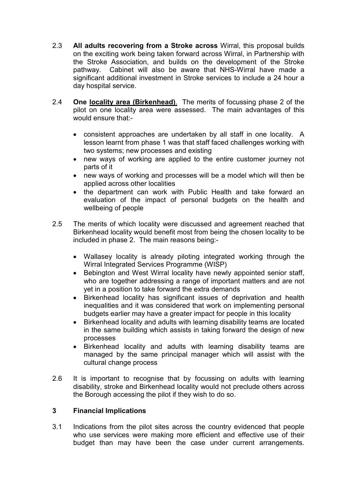- 2.3 All adults recovering from a Stroke across Wirral, this proposal builds on the exciting work being taken forward across Wirral, in Partnership with the Stroke Association, and builds on the development of the Stroke pathway. Cabinet will also be aware that NHS-Wirral have made a significant additional investment in Stroke services to include a 24 hour a day hospital service.
- 2.4 One locality area (Birkenhead). The merits of focussing phase 2 of the pilot on one locality area were assessed. The main advantages of this would ensure that:-
	- consistent approaches are undertaken by all staff in one locality. A lesson learnt from phase 1 was that staff faced challenges working with two systems; new processes and existing
	- new ways of working are applied to the entire customer journey not parts of it
	- new ways of working and processes will be a model which will then be applied across other localities
	- the department can work with Public Health and take forward an evaluation of the impact of personal budgets on the health and wellbeing of people
- 2.5 The merits of which locality were discussed and agreement reached that Birkenhead locality would benefit most from being the chosen locality to be included in phase 2. The main reasons being:-
	- Wallasey locality is already piloting integrated working through the Wirral Integrated Services Programme (WISP)
	- Bebington and West Wirral locality have newly appointed senior staff, who are together addressing a range of important matters and are not yet in a position to take forward the extra demands
	- Birkenhead locality has significant issues of deprivation and health inequalities and it was considered that work on implementing personal budgets earlier may have a greater impact for people in this locality
	- Birkenhead locality and adults with learning disability teams are located in the same building which assists in taking forward the design of new processes
	- Birkenhead locality and adults with learning disability teams are managed by the same principal manager which will assist with the cultural change process
- 2.6 It is important to recognise that by focussing on adults with learning disability, stroke and Birkenhead locality would not preclude others across the Borough accessing the pilot if they wish to do so.

## 3 Financial Implications

3.1 Indications from the pilot sites across the country evidenced that people who use services were making more efficient and effective use of their budget than may have been the case under current arrangements.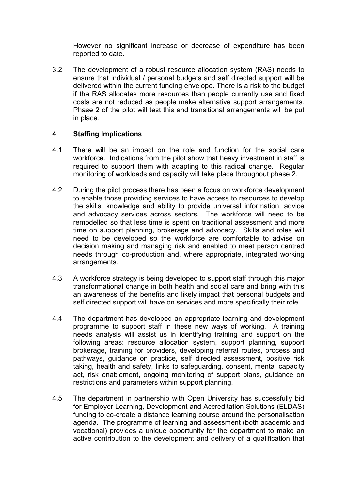However no significant increase or decrease of expenditure has been reported to date.

3.2 The development of a robust resource allocation system (RAS) needs to ensure that individual / personal budgets and self directed support will be delivered within the current funding envelope. There is a risk to the budget if the RAS allocates more resources than people currently use and fixed costs are not reduced as people make alternative support arrangements. Phase 2 of the pilot will test this and transitional arrangements will be put in place.

## 4 Staffing Implications

- 4.1 There will be an impact on the role and function for the social care workforce. Indications from the pilot show that heavy investment in staff is required to support them with adapting to this radical change. Regular monitoring of workloads and capacity will take place throughout phase 2.
- 4.2 During the pilot process there has been a focus on workforce development to enable those providing services to have access to resources to develop the skills, knowledge and ability to provide universal information, advice and advocacy services across sectors. The workforce will need to be remodelled so that less time is spent on traditional assessment and more time on support planning, brokerage and advocacy. Skills and roles will need to be developed so the workforce are comfortable to advise on decision making and managing risk and enabled to meet person centred needs through co-production and, where appropriate, integrated working arrangements.
- 4.3 A workforce strategy is being developed to support staff through this major transformational change in both health and social care and bring with this an awareness of the benefits and likely impact that personal budgets and self directed support will have on services and more specifically their role.
- 4.4 The department has developed an appropriate learning and development programme to support staff in these new ways of working. A training needs analysis will assist us in identifying training and support on the following areas: resource allocation system, support planning, support brokerage, training for providers, developing referral routes, process and pathways, guidance on practice, self directed assessment, positive risk taking, health and safety, links to safeguarding, consent, mental capacity act, risk enablement, ongoing monitoring of support plans, guidance on restrictions and parameters within support planning.
- 4.5 The department in partnership with Open University has successfully bid for Employer Learning, Development and Accreditation Solutions (ELDAS) funding to co-create a distance learning course around the personalisation agenda. The programme of learning and assessment (both academic and vocational) provides a unique opportunity for the department to make an active contribution to the development and delivery of a qualification that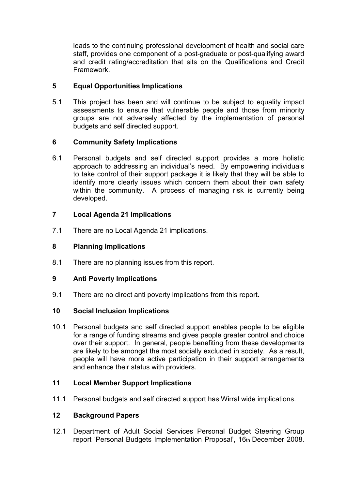leads to the continuing professional development of health and social care staff, provides one component of a post-graduate or post-qualifying award and credit rating/accreditation that sits on the Qualifications and Credit Framework.

# 5 Equal Opportunities Implications

5.1 This project has been and will continue to be subject to equality impact assessments to ensure that vulnerable people and those from minority groups are not adversely affected by the implementation of personal budgets and self directed support.

# 6 Community Safety Implications

6.1 Personal budgets and self directed support provides a more holistic approach to addressing an individual's need. By empowering individuals to take control of their support package it is likely that they will be able to identify more clearly issues which concern them about their own safety within the community. A process of managing risk is currently being developed.

# 7 Local Agenda 21 Implications

7.1 There are no Local Agenda 21 implications.

# 8 Planning Implications

8.1 There are no planning issues from this report.

## 9 Anti Poverty Implications

9.1 There are no direct anti poverty implications from this report.

## 10 Social Inclusion Implications

10.1 Personal budgets and self directed support enables people to be eligible for a range of funding streams and gives people greater control and choice over their support. In general, people benefiting from these developments are likely to be amongst the most socially excluded in society. As a result, people will have more active participation in their support arrangements and enhance their status with providers.

## 11 Local Member Support Implications

11.1 Personal budgets and self directed support has Wirral wide implications.

## 12 Background Papers

12.1 Department of Adult Social Services Personal Budget Steering Group report 'Personal Budgets Implementation Proposal', 16th December 2008.